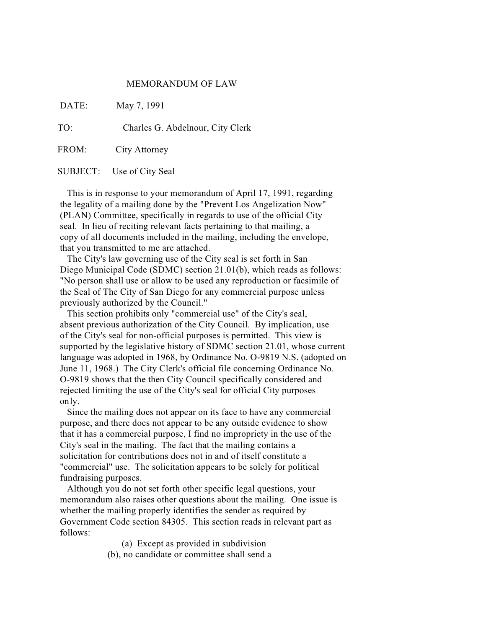## MEMORANDUM OF LAW

DATE: May 7, 1991

TO: Charles G. Abdelnour, City Clerk

FROM: City Attorney

SUBJECT: Use of City Seal

This is in response to your memorandum of April 17, 1991, regarding the legality of a mailing done by the "Prevent Los Angelization Now" (PLAN) Committee, specifically in regards to use of the official City seal. In lieu of reciting relevant facts pertaining to that mailing, a copy of all documents included in the mailing, including the envelope, that you transmitted to me are attached.

The City's law governing use of the City seal is set forth in San Diego Municipal Code (SDMC) section 21.01(b), which reads as follows: "No person shall use or allow to be used any reproduction or facsimile of the Seal of The City of San Diego for any commercial purpose unless previously authorized by the Council."

This section prohibits only "commercial use" of the City's seal, absent previous authorization of the City Council. By implication, use of the City's seal for non-official purposes is permitted. This view is supported by the legislative history of SDMC section 21.01, whose current language was adopted in 1968, by Ordinance No. O-9819 N.S. (adopted on June 11, 1968.) The City Clerk's official file concerning Ordinance No. O-9819 shows that the then City Council specifically considered and rejected limiting the use of the City's seal for official City purposes only.

Since the mailing does not appear on its face to have any commercial purpose, and there does not appear to be any outside evidence to show that it has a commercial purpose, I find no impropriety in the use of the City's seal in the mailing. The fact that the mailing contains a solicitation for contributions does not in and of itself constitute a "commercial" use. The solicitation appears to be solely for political fundraising purposes.

Although you do not set forth other specific legal questions, your memorandum also raises other questions about the mailing. One issue is whether the mailing properly identifies the sender as required by Government Code section 84305. This section reads in relevant part as follows:

(a) Except as provided in subdivision

(b), no candidate or committee shall send a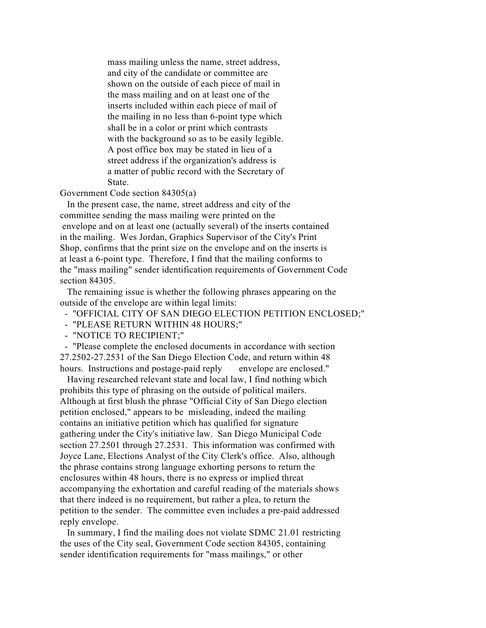mass mailing unless the name, street address, and city of the candidate or committee are shown on the outside of each piece of mail in the mass mailing and on at least one of the inserts included within each piece of mail of the mailing in no less than 6-point type which shall be in a color or print which contrasts with the background so as to be easily legible. A post office box may be stated in lieu of a street address if the organization's address is a matter of public record with the Secretary of State.

Government Code section 84305(a)

In the present case, the name, street address and city of the committee sending the mass mailing were printed on the envelope and on at least one (actually several) of the inserts contained in the mailing. Wes Jordan, Graphics Supervisor of the City's Print Shop, confirms that the print size on the envelope and on the inserts is at least a 6-point type. Therefore, I find that the mailing conforms to the "mass mailing" sender identification requirements of Government Code section 84305.

The remaining issue is whether the following phrases appearing on the outside of the envelope are within legal limits:

- "OFFICIAL CITY OF SAN DIEGO ELECTION PETITION ENCLOSED;"

- "PLEASE RETURN WITHIN 48 HOURS;"

- "NOTICE TO RECIPIENT;"

- "Please complete the enclosed documents in accordance with section 27.2502-27.2531 of the San Diego Election Code, and return within 48 hours. Instructions and postage-paid reply envelope are enclosed."

Having researched relevant state and local law, I find nothing which prohibits this type of phrasing on the outside of political mailers. Although at first blush the phrase "Official City of San Diego election petition enclosed," appears to be misleading, indeed the mailing contains an initiative petition which has qualified for signature gathering under the City's initiative law. San Diego Municipal Code section 27.2501 through 27.2531. This information was confirmed with Joyce Lane, Elections Analyst of the City Clerk's office. Also, although the phrase contains strong language exhorting persons to return the enclosures within 48 hours, there is no express or implied threat accompanying the exhortation and careful reading of the materials shows that there indeed is no requirement, but rather a plea, to return the petition to the sender. The committee even includes a pre-paid addressed reply envelope.

In summary, I find the mailing does not violate SDMC 21.01 restricting the uses of the City seal, Government Code section 84305, containing sender identification requirements for "mass mailings," or other